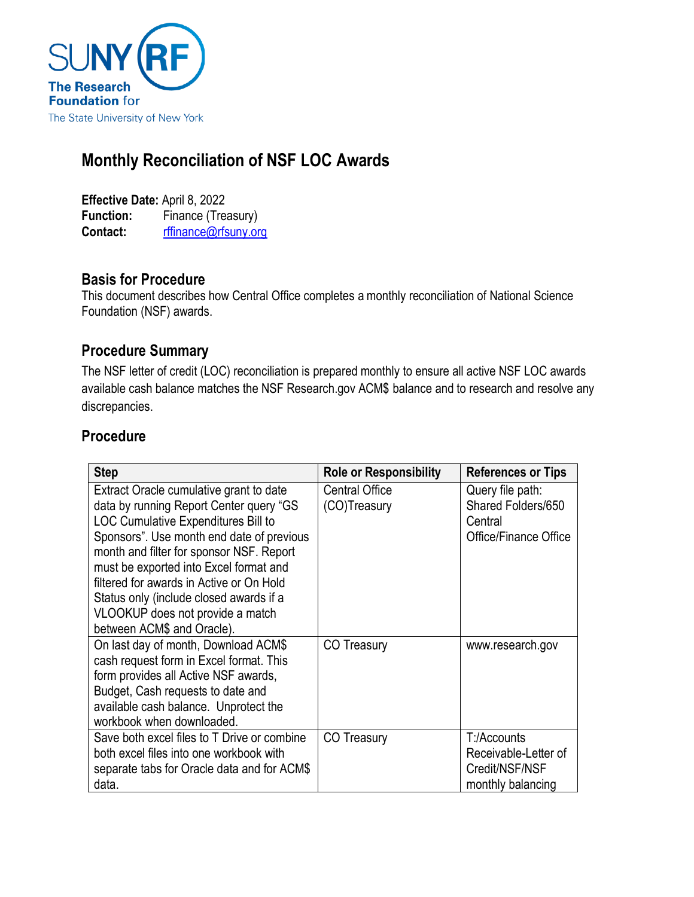

# **Monthly Reconciliation of NSF LOC Awards**

**Effective Date:** April 8, 2022 **Function:** Finance (Treasury) **Contact:** [rffinance@rfsuny.org](mailto:rffinance@rfsuny.org)

#### **Basis for Procedure**

This document describes how Central Office completes a monthly reconciliation of National Science Foundation (NSF) awards.

#### **Procedure Summary**

The NSF letter of credit (LOC) reconciliation is prepared monthly to ensure all active NSF LOC awards available cash balance matches the NSF Research.gov ACM\$ balance and to research and resolve any discrepancies.

#### **Procedure**

| <b>Step</b>                                 | <b>Role or Responsibility</b> | <b>References or Tips</b> |
|---------------------------------------------|-------------------------------|---------------------------|
| Extract Oracle cumulative grant to date     | Central Office                | Query file path:          |
| data by running Report Center query "GS     | (CO)Treasury                  | Shared Folders/650        |
| <b>LOC Cumulative Expenditures Bill to</b>  |                               | Central                   |
| Sponsors". Use month end date of previous   |                               | Office/Finance Office     |
| month and filter for sponsor NSF. Report    |                               |                           |
| must be exported into Excel format and      |                               |                           |
| filtered for awards in Active or On Hold    |                               |                           |
| Status only (include closed awards if a     |                               |                           |
| VLOOKUP does not provide a match            |                               |                           |
| between ACM\$ and Oracle).                  |                               |                           |
| On last day of month, Download ACM\$        | <b>CO Treasury</b>            | www.research.gov          |
| cash request form in Excel format. This     |                               |                           |
| form provides all Active NSF awards,        |                               |                           |
| Budget, Cash requests to date and           |                               |                           |
| available cash balance. Unprotect the       |                               |                           |
| workbook when downloaded.                   |                               |                           |
| Save both excel files to T Drive or combine | CO Treasury                   | T:/Accounts               |
| both excel files into one workbook with     |                               | Receivable-Letter of      |
| separate tabs for Oracle data and for ACM\$ |                               | Credit/NSF/NSF            |
| data.                                       |                               | monthly balancing         |